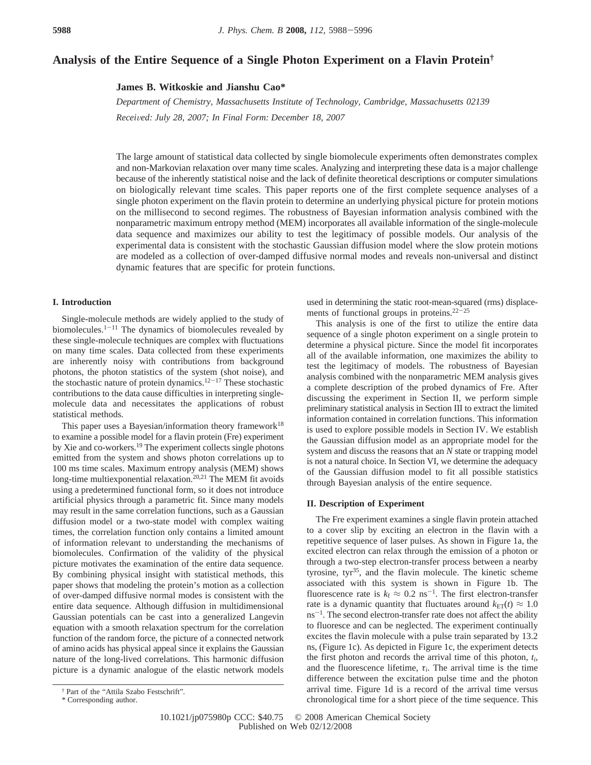# **Analysis of the Entire Sequence of a Single Photon Experiment on a Flavin Protein†**

**James B. Witkoskie and Jianshu Cao\***

*Department of Chemistry, Massachusetts Institute of Technology, Cambridge, Massachusetts 02139 Recei*V*ed: July 28, 2007; In Final Form: December 18, 2007*

The large amount of statistical data collected by single biomolecule experiments often demonstrates complex and non-Markovian relaxation over many time scales. Analyzing and interpreting these data is a major challenge because of the inherently statistical noise and the lack of definite theoretical descriptions or computer simulations on biologically relevant time scales. This paper reports one of the first complete sequence analyses of a single photon experiment on the flavin protein to determine an underlying physical picture for protein motions on the millisecond to second regimes. The robustness of Bayesian information analysis combined with the nonparametric maximum entropy method (MEM) incorporates all available information of the single-molecule data sequence and maximizes our ability to test the legitimacy of possible models. Our analysis of the experimental data is consistent with the stochastic Gaussian diffusion model where the slow protein motions are modeled as a collection of over-damped diffusive normal modes and reveals non-universal and distinct dynamic features that are specific for protein functions.

## **I. Introduction**

Single-molecule methods are widely applied to the study of biomolecules. $1-11$  The dynamics of biomolecules revealed by these single-molecule techniques are complex with fluctuations on many time scales. Data collected from these experiments are inherently noisy with contributions from background photons, the photon statistics of the system (shot noise), and the stochastic nature of protein dynamics.<sup>12-17</sup> These stochastic contributions to the data cause difficulties in interpreting singlemolecule data and necessitates the applications of robust statistical methods.

This paper uses a Bayesian/information theory framework $18$ to examine a possible model for a flavin protein (Fre) experiment by Xie and co-workers.19 The experiment collects single photons emitted from the system and shows photon correlations up to 100 ms time scales. Maximum entropy analysis (MEM) shows long-time multiexponential relaxation.20,21 The MEM fit avoids using a predetermined functional form, so it does not introduce artificial physics through a parametric fit. Since many models may result in the same correlation functions, such as a Gaussian diffusion model or a two-state model with complex waiting times, the correlation function only contains a limited amount of information relevant to understanding the mechanisms of biomolecules. Confirmation of the validity of the physical picture motivates the examination of the entire data sequence. By combining physical insight with statistical methods, this paper shows that modeling the protein's motion as a collection of over-damped diffusive normal modes is consistent with the entire data sequence. Although diffusion in multidimensional Gaussian potentials can be cast into a generalized Langevin equation with a smooth relaxation spectrum for the correlation function of the random force, the picture of a connected network of amino acids has physical appeal since it explains the Gaussian nature of the long-lived correlations. This harmonic diffusion picture is a dynamic analogue of the elastic network models

This analysis is one of the first to utilize the entire data sequence of a single photon experiment on a single protein to determine a physical picture. Since the model fit incorporates all of the available information, one maximizes the ability to test the legitimacy of models. The robustness of Bayesian analysis combined with the nonparametric MEM analysis gives a complete description of the probed dynamics of Fre. After discussing the experiment in Section II, we perform simple preliminary statistical analysis in Section III to extract the limited information contained in correlation functions. This information is used to explore possible models in Section IV. We establish the Gaussian diffusion model as an appropriate model for the system and discuss the reasons that an *N* state or trapping model is not a natural choice. In Section VI, we determine the adequacy of the Gaussian diffusion model to fit all possible statistics through Bayesian analysis of the entire sequence.

### **II. Description of Experiment**

The Fre experiment examines a single flavin protein attached to a cover slip by exciting an electron in the flavin with a repetitive sequence of laser pulses. As shown in Figure 1a, the excited electron can relax through the emission of a photon or through a two-step electron-transfer process between a nearby tyrosine, tyr35, and the flavin molecule. The kinetic scheme associated with this system is shown in Figure 1b. The fluorescence rate is  $k_f \approx 0.2 \text{ ns}^{-1}$ . The first electron-transfer rate is a dynamic quantity that fluctuates around  $k_{ET}(t) \approx 1.0$  $ns^{-1}$ . The second electron-transfer rate does not affect the ability to fluoresce and can be neglected. The experiment continually excites the flavin molecule with a pulse train separated by 13.2 ns, (Figure 1c). As depicted in Figure 1c, the experiment detects the first photon and records the arrival time of this photon, *ti*, and the fluorescence lifetime,  $\tau_i$ . The arrival time is the time difference between the excitation pulse time and the photon arrival time. Figure 1d is a record of the arrival time versus chronological time for a short piece of the time sequence. This

used in determining the static root-mean-squared (rms) displacements of functional groups in proteins.<sup>22-25</sup>

<sup>†</sup> Part of the "Attila Szabo Festschrift".

<sup>\*</sup> Corresponding author.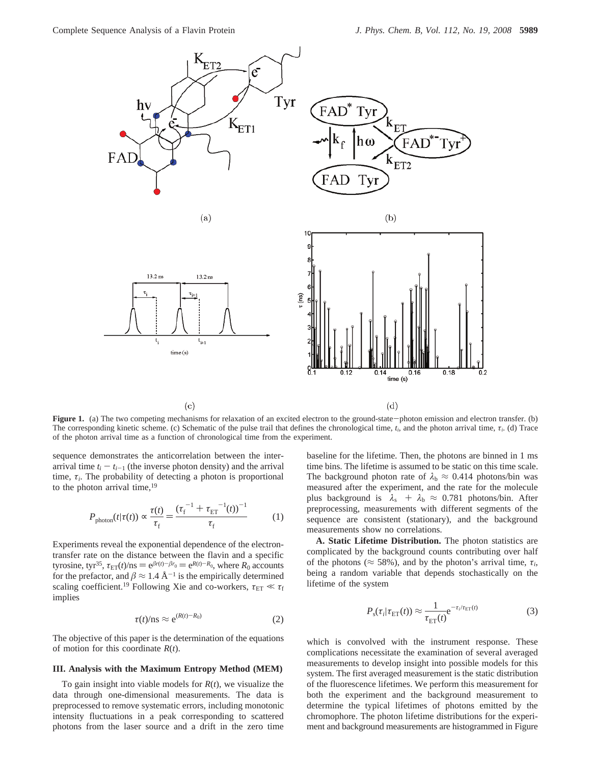

**Figure 1.** (a) The two competing mechanisms for relaxation of an excited electron to the ground-state-photon emission and electron transfer. (b) The corresponding kinetic scheme. (c) Schematic of the pulse trail that defines the chronological time,  $t_i$ , and the photon arrival time,  $t_i$ . (d) Trace of the photon arrival time as a function of chronological time from the experiment.

sequence demonstrates the anticorrelation between the interarrival time  $t_i - t_{i-1}$  (the inverse photon density) and the arrival time,  $\tau_i$ . The probability of detecting a photon is proportional to the photon arrival time,<sup>19</sup>

$$
P_{\text{photon}}(t|\tau(t)) \propto \frac{\tau(t)}{\tau_{\text{f}}} = \frac{(\tau_{\text{f}}^{-1} + \tau_{\text{ET}}^{-1}(t))^{-1}}{\tau_{\text{f}}} \tag{1}
$$

Experiments reveal the exponential dependence of the electrontransfer rate on the distance between the flavin and a specific tyrosine, tyr<sup>35</sup>,  $\tau_{ET}(t)/ns = e^{\beta r(t)-\beta r_0} = e^{R(t)-R_0}$ , where  $R_0$  accounts for the prefactor, and  $\beta \approx 1.4 \text{ Å}^{-1}$  is the empirically determined scaling coefficient.<sup>19</sup> Following Xie and co-workers,  $\tau_{ET} \ll \tau_f$ implies

$$
\tau(t)/\text{ns} \approx \text{e}^{(R(t)-R_0)}\tag{2}
$$

The objective of this paper is the determination of the equations of motion for this coordinate *R*(*t*).

### **III. Analysis with the Maximum Entropy Method (MEM)**

To gain insight into viable models for *R*(*t*), we visualize the data through one-dimensional measurements. The data is preprocessed to remove systematic errors, including monotonic intensity fluctuations in a peak corresponding to scattered photons from the laser source and a drift in the zero time

baseline for the lifetime. Then, the photons are binned in 1 ms time bins. The lifetime is assumed to be static on this time scale. The background photon rate of  $\lambda_b \approx 0.414$  photons/bin was measured after the experiment, and the rate for the molecule plus background is  $\langle \lambda_s \rangle$  +  $\lambda_b$   $\approx$  0.781 photons/bin. After preprocessing, measurements with different segments of the sequence are consistent (stationary), and the background measurements show no correlations.

**A. Static Lifetime Distribution.** The photon statistics are complicated by the background counts contributing over half of the photons ( $\approx$  58%), and by the photon's arrival time,  $\tau_i$ , being a random variable that depends stochastically on the lifetime of the system

$$
P_{\rm s}(\tau_i|\tau_{\rm ET}(t)) \approx \frac{1}{\tau_{\rm ET}(t)} e^{-\tau_i/\tau_{\rm ET}(t)}\tag{3}
$$

which is convolved with the instrument response. These complications necessitate the examination of several averaged measurements to develop insight into possible models for this system. The first averaged measurement is the static distribution of the fluorescence lifetimes. We perform this measurement for both the experiment and the background measurement to determine the typical lifetimes of photons emitted by the chromophore. The photon lifetime distributions for the experiment and background measurements are histogrammed in Figure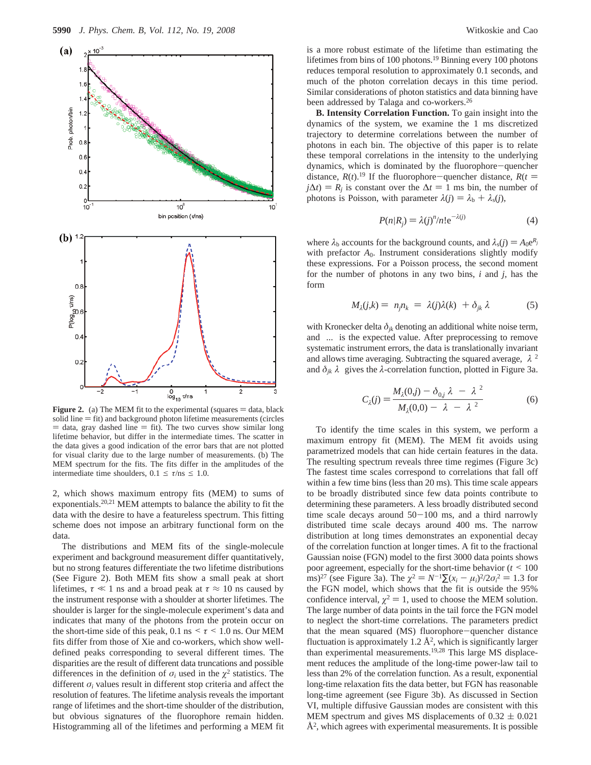

**Figure 2.** (a) The MEM fit to the experimental (squares  $=$  data, black solid line  $=$  fit) and background photon lifetime measurements (circles  $=$  data, gray dashed line  $=$  fit). The two curves show similar long lifetime behavior, but differ in the intermediate times. The scatter in the data gives a good indication of the error bars that are not plotted for visual clarity due to the large number of measurements. (b) The MEM spectrum for the fits. The fits differ in the amplitudes of the intermediate time shoulders,  $0.1 \le \tau/\text{ns} \le 1.0$ .

2, which shows maximum entropy fits (MEM) to sums of exponentials.20,21 MEM attempts to balance the ability to fit the data with the desire to have a featureless spectrum. This fitting scheme does not impose an arbitrary functional form on the data.

The distributions and MEM fits of the single-molecule experiment and background measurement differ quantitatively, but no strong features differentiate the two lifetime distributions (See Figure 2). Both MEM fits show a small peak at short lifetimes,  $\tau \ll 1$  ns and a broad peak at  $\tau \approx 10$  ns caused by the instrument response with a shoulder at shorter lifetimes. The shoulder is larger for the single-molecule experiment's data and indicates that many of the photons from the protein occur on the short-time side of this peak,  $0.1 \text{ ns} \le \tau \le 1.0 \text{ ns}$ . Our MEM fits differ from those of Xie and co-workers, which show welldefined peaks corresponding to several different times. The disparities are the result of different data truncations and possible differences in the definition of  $\sigma_i$  used in the  $\chi^2$  statistics. The different *σ<sup>i</sup>* values result in different stop criteria and affect the resolution of features. The lifetime analysis reveals the important range of lifetimes and the short-time shoulder of the distribution, but obvious signatures of the fluorophore remain hidden. Histogramming all of the lifetimes and performing a MEM fit is a more robust estimate of the lifetime than estimating the lifetimes from bins of 100 photons.<sup>19</sup> Binning every 100 photons reduces temporal resolution to approximately 0.1 seconds, and much of the photon correlation decays in this time period. Similar considerations of photon statistics and data binning have been addressed by Talaga and co-workers.<sup>26</sup>

**B. Intensity Correlation Function.** To gain insight into the dynamics of the system, we examine the 1 ms discretized trajectory to determine correlations between the number of photons in each bin. The objective of this paper is to relate these temporal correlations in the intensity to the underlying dynamics, which is dominated by the fluorophore-quencher distance,  $R(t)$ .<sup>19</sup> If the fluorophore-quencher distance,  $R(t)$  $j\Delta t$ ) =  $R_i$  is constant over the  $\Delta t$  = 1 ms bin, the number of photons is Poisson, with parameter  $\lambda(j) = \lambda_b + \lambda_s(j)$ ,

$$
P(n|R_j) = \lambda(j)^n/n! e^{-\lambda(j)}
$$
 (4)

where  $\lambda_b$  accounts for the background counts, and  $\lambda_s(j) = A_0 e^{R_j}$ with prefactor  $A_0$ . Instrument considerations slightly modify these expressions. For a Poisson process, the second moment for the number of photons in any two bins, *i* and *j*, has the form

$$
M_{\lambda}(j,k) = \langle n_j n_k \rangle = \langle \lambda(j)\lambda(k) \rangle + \delta_{jk} \langle \lambda \rangle \tag{5}
$$

with Kronecker delta  $\delta_{jk}$  denoting an additional white noise term, and  $\langle \ldots \rangle$  is the expected value. After preprocessing to remove systematic instrument errors, the data is translationally invariant and allows time averaging. Subtracting the squared average, 〈*λ*〉<sup>2</sup> and  $\delta_{ik}(\lambda)$  gives the  $\lambda$ -correlation function, plotted in Figure 3a.

$$
C_{\lambda}(j) = \frac{M_{\lambda}(0,j) - \delta_{0,j}\langle\lambda\rangle - \langle\lambda\rangle^2}{M_{\lambda}(0,0) - \langle\lambda\rangle - \langle\lambda\rangle^2}
$$
(6)

To identify the time scales in this system, we perform a maximum entropy fit (MEM). The MEM fit avoids using parametrized models that can hide certain features in the data. The resulting spectrum reveals three time regimes (Figure 3c) The fastest time scales correspond to correlations that fall off within a few time bins (less than 20 ms). This time scale appears to be broadly distributed since few data points contribute to determining these parameters. A less broadly distributed second time scale decays around  $50-100$  ms, and a third narrowly distributed time scale decays around 400 ms. The narrow distribution at long times demonstrates an exponential decay of the correlation function at longer times. A fit to the fractional Gaussian noise (FGN) model to the first 3000 data points shows poor agreement, especially for the short-time behavior  $(t \le 100$ <br>ms<sup>27</sup> (see Figure 3a) The  $\alpha^2 = N^{-1}\Sigma(r_1 - \mu)^2/2\alpha^2 = 1.3$  for ms)<sup>27</sup> (see Figure 3a). The  $\chi^2 = N^{-1} \Sigma (x_i - \mu_i)^2 / 2 \sigma_i^2 = 1.3$  for the FGN model which shows that the fit is outside the 95% the FGN model, which shows that the fit is outside the 95% confidence interval,  $\chi^2 = 1$ , used to choose the MEM solution. The large number of data points in the tail force the FGN model to neglect the short-time correlations. The parameters predict that the mean squared (MS) fluorophore-quencher distance fluctuation is approximately 1.2  $A^2$ , which is significantly larger than experimental measurements.19,28 This large MS displacement reduces the amplitude of the long-time power-law tail to less than 2% of the correlation function. As a result, exponential long-time relaxation fits the data better, but FGN has reasonable long-time agreement (see Figure 3b). As discussed in Section VI, multiple diffusive Gaussian modes are consistent with this MEM spectrum and gives MS displacements of  $0.32 \pm 0.021$  $\AA^2$ , which agrees with experimental measurements. It is possible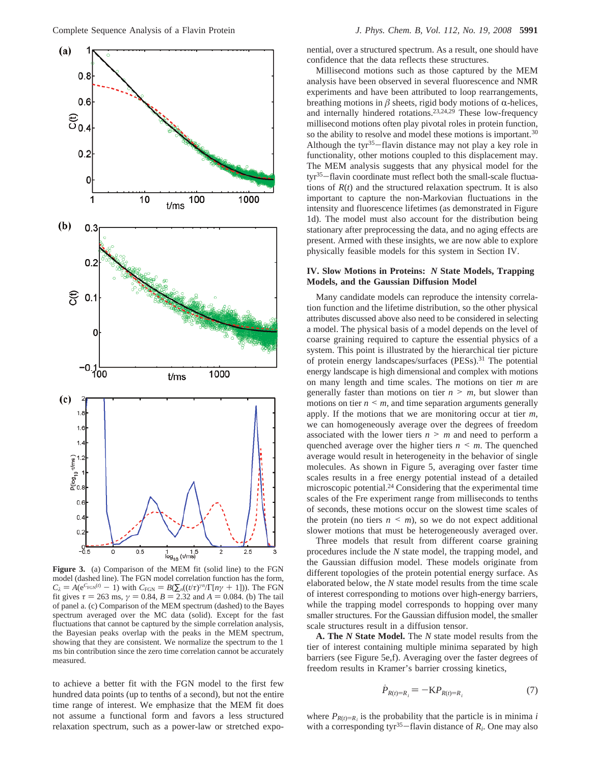

**Figure 3.** (a) Comparison of the MEM fit (solid line) to the FGN model (dashed line). The FGN model correlation function has the form,  $C_{\lambda} = A(e^{C_{FGN}(i)} - 1)$  with  $C_{FGN} = B(\sum_{n}((t/\tau)^{n} / \Gamma[n\gamma + 1]))$ . The FGN<br>fit gives  $\tau = 263$  ms  $\gamma = 0.84$   $R = 2.32$  and  $A = 0.084$  (b) The tail fit gives  $\tau = 263$  ms,  $\gamma = 0.84$ ,  $B = 2.32$  and  $A = 0.084$ . (b) The tail of panel a. (c) Comparison of the MEM spectrum (dashed) to the Bayes spectrum averaged over the MC data (solid). Except for the fast fluctuations that cannot be captured by the simple correlation analysis, the Bayesian peaks overlap with the peaks in the MEM spectrum, showing that they are consistent. We normalize the spectrum to the 1 ms bin contribution since the zero time correlation cannot be accurately measured.

to achieve a better fit with the FGN model to the first few hundred data points (up to tenths of a second), but not the entire time range of interest. We emphasize that the MEM fit does not assume a functional form and favors a less structured relaxation spectrum, such as a power-law or stretched exponential, over a structured spectrum. As a result, one should have confidence that the data reflects these structures.

Millisecond motions such as those captured by the MEM analysis have been observed in several fluorescence and NMR experiments and have been attributed to loop rearrangements, breathing motions in  $\beta$  sheets, rigid body motions of  $\alpha$ -helices, and internally hindered rotations.23,24,29 These low-frequency millisecond motions often play pivotal roles in protein function, so the ability to resolve and model these motions is important.<sup>30</sup> Although the tyr<sup>35</sup>-flavin distance may not play a key role in functionality, other motions coupled to this displacement may. The MEM analysis suggests that any physical model for the tyr<sup>35</sup>-flavin coordinate must reflect both the small-scale fluctuations of *R*(*t*) and the structured relaxation spectrum. It is also important to capture the non-Markovian fluctuations in the intensity and fluorescence lifetimes (as demonstrated in Figure 1d). The model must also account for the distribution being stationary after preprocessing the data, and no aging effects are present. Armed with these insights, we are now able to explore physically feasible models for this system in Section IV.

### **IV. Slow Motions in Proteins:** *N* **State Models, Trapping Models, and the Gaussian Diffusion Model**

Many candidate models can reproduce the intensity correlation function and the lifetime distribution, so the other physical attributes discussed above also need to be considered in selecting a model. The physical basis of a model depends on the level of coarse graining required to capture the essential physics of a system. This point is illustrated by the hierarchical tier picture of protein energy landscapes/surfaces (PESs).31 The potential energy landscape is high dimensional and complex with motions on many length and time scales. The motions on tier *m* are generally faster than motions on tier  $n > m$ , but slower than motions on tier  $n \leq m$ , and time separation arguments generally apply. If the motions that we are monitoring occur at tier *m*, we can homogeneously average over the degrees of freedom associated with the lower tiers  $n \ge m$  and need to perform a quenched average over the higher tiers  $n \leq m$ . The quenched average would result in heterogeneity in the behavior of single molecules. As shown in Figure 5, averaging over faster time scales results in a free energy potential instead of a detailed microscopic potential.24 Considering that the experimental time scales of the Fre experiment range from milliseconds to tenths of seconds, these motions occur on the slowest time scales of the protein (no tiers  $n \le m$ ), so we do not expect additional slower motions that must be heterogeneously averaged over.

Three models that result from different coarse graining procedures include the *N* state model, the trapping model, and the Gaussian diffusion model. These models originate from different topologies of the protein potential energy surface. As elaborated below, the *N* state model results from the time scale of interest corresponding to motions over high-energy barriers, while the trapping model corresponds to hopping over many smaller structures. For the Gaussian diffusion model, the smaller scale structures result in a diffusion tensor.

**A. The** *N* **State Model.** The *N* state model results from the tier of interest containing multiple minima separated by high barriers (see Figure 5e,f). Averaging over the faster degrees of freedom results in Kramer's barrier crossing kinetics,

$$
\dot{P}_{R(t)=R_i} = -\mathbf{K} P_{R(t)=R_i} \tag{7}
$$

where  $P_{R(t)=R_i}$  is the probability that the particle is in minima *i* with a corresponding tyr<sup>35</sup>-flavin distance of  $R_i$ . One may also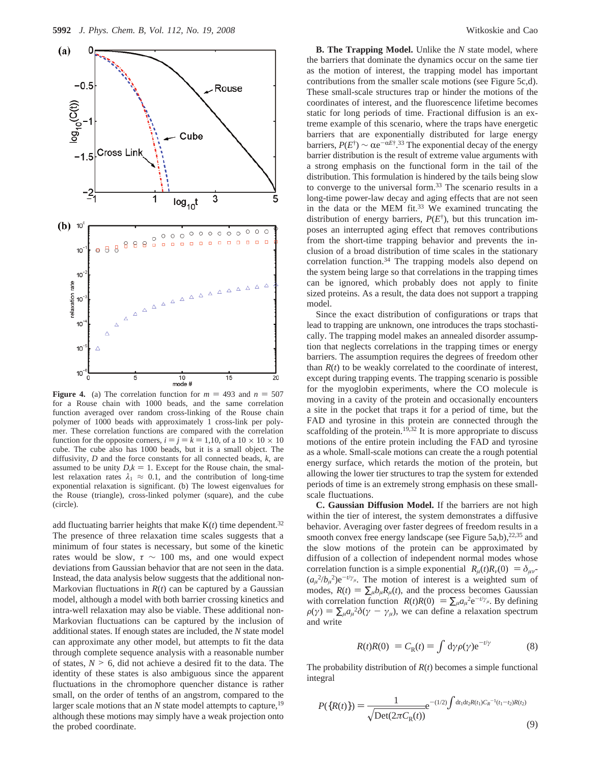

**Figure 4.** (a) The correlation function for  $m = 493$  and  $n = 507$ for a Rouse chain with 1000 beads, and the same correlation function averaged over random cross-linking of the Rouse chain polymer of 1000 beads with approximately 1 cross-link per polymer. These correlation functions are compared with the correlation function for the opposite corners,  $i = j = k = 1,10$ , of a  $10 \times 10 \times 10$ cube. The cube also has 1000 beads, but it is a small object. The diffusivity, *D* and the force constants for all connected beads, *k*, are assumed to be unity  $D, k = 1$ . Except for the Rouse chain, the smallest relaxation rates  $\lambda_1 \approx 0.1$ , and the contribution of long-time exponential relaxation is significant. (b) The lowest eigenvalues for the Rouse (triangle), cross-linked polymer (square), and the cube (circle).

add fluctuating barrier heights that make  $K(t)$  time dependent.<sup>32</sup> The presence of three relaxation time scales suggests that a minimum of four states is necessary, but some of the kinetic rates would be slow,  $\tau \sim 100$  ms, and one would expect deviations from Gaussian behavior that are not seen in the data. Instead, the data analysis below suggests that the additional non-Markovian fluctuations in  $R(t)$  can be captured by a Gaussian model, although a model with both barrier crossing kinetics and intra-well relaxation may also be viable. These additional non-Markovian fluctuations can be captured by the inclusion of additional states. If enough states are included, the *N* state model can approximate any other model, but attempts to fit the data through complete sequence analysis with a reasonable number of states,  $N > 6$ , did not achieve a desired fit to the data. The identity of these states is also ambiguous since the apparent fluctuations in the chromophore quencher distance is rather small, on the order of tenths of an angstrom, compared to the larger scale motions that an *N* state model attempts to capture,<sup>19</sup> although these motions may simply have a weak projection onto the probed coordinate.

**B. The Trapping Model.** Unlike the *N* state model, where the barriers that dominate the dynamics occur on the same tier as the motion of interest, the trapping model has important contributions from the smaller scale motions (see Figure 5c,d). These small-scale structures trap or hinder the motions of the coordinates of interest, and the fluorescence lifetime becomes static for long periods of time. Fractional diffusion is an extreme example of this scenario, where the traps have energetic barriers that are exponentially distributed for large energy barriers,  $P(E^{\dagger}) \sim \alpha e^{-\alpha E^{\dagger}$ .<sup>33</sup> The exponential decay of the energy barrier distribution is the result of extreme value arguments with barrier distribution is the result of extreme value arguments with a strong emphasis on the functional form in the tail of the distribution. This formulation is hindered by the tails being slow to converge to the universal form.33 The scenario results in a long-time power-law decay and aging effects that are not seen in the data or the MEM fit. $33$  We examined truncating the distribution of energy barriers,  $P(E^{\dagger})$ , but this truncation imposes an interrupted aging effect that removes contributions from the short-time trapping behavior and prevents the inclusion of a broad distribution of time scales in the stationary correlation function.34 The trapping models also depend on the system being large so that correlations in the trapping times can be ignored, which probably does not apply to finite sized proteins. As a result, the data does not support a trapping model.

Since the exact distribution of configurations or traps that lead to trapping are unknown, one introduces the traps stochastically. The trapping model makes an annealed disorder assumption that neglects correlations in the trapping times or energy barriers. The assumption requires the degrees of freedom other than  $R(t)$  to be weakly correlated to the coordinate of interest, except during trapping events. The trapping scenario is possible for the myoglobin experiments, where the CO molecule is moving in a cavity of the protein and occasionally encounters a site in the pocket that traps it for a period of time, but the FAD and tyrosine in this protein are connected through the scaffolding of the protein.<sup>19,32</sup> It is more appropriate to discuss motions of the entire protein including the FAD and tyrosine as a whole. Small-scale motions can create the a rough potential energy surface, which retards the motion of the protein, but allowing the lower tier structures to trap the system for extended periods of time is an extremely strong emphasis on these smallscale fluctuations.

**C. Gaussian Diffusion Model.** If the barriers are not high within the tier of interest, the system demonstrates a diffusive behavior. Averaging over faster degrees of freedom results in a smooth convex free energy landscape (see Figure 5a,b), $22,35$  and the slow motions of the protein can be approximated by diffusion of a collection of independent normal modes whose correlation function is a simple exponential  $\langle R_u(t)R_v(0)\rangle = \delta_{\mu\nu}$  $(a_{\mu}^{2}/b_{\mu}^{2})e^{-t/\gamma_{\mu}}$ . The motion of interest is a weighted sum of modes,  $R(t) = \sum_{\mu} b_{\mu} R_{\mu}(t)$ , and the process becomes Gaussian with correlation function  $\langle R(t)R(0)\rangle = \sum_{\mu} a_{\mu}^2 e^{-t/\gamma_{\mu}}$ . By defining  $\rho(\nu) = \sum a^2 \delta(\nu - \nu)$ , we can define a relaxation spectrum  $\rho(\gamma) = \sum_{\mu} a_{\mu}^2 \delta(\gamma - \gamma_{\mu})$ , we can define a relaxation spectrum and write and write

$$
\langle R(t)R(0)\rangle = C_{\rm R}(t) = \int d\gamma \rho(\gamma) e^{-t/\gamma}
$$
 (8)

The probability distribution of *R*(*t*) becomes a simple functional integral

$$
P({R(t)} = \frac{1}{\sqrt{\text{Det}(2\pi C_R(t))}} e^{-(1/2)\int dt_1 dt_2 R(t_1)C_R^{-1}(t_1 - t_2)R(t_2)}
$$
\n(9)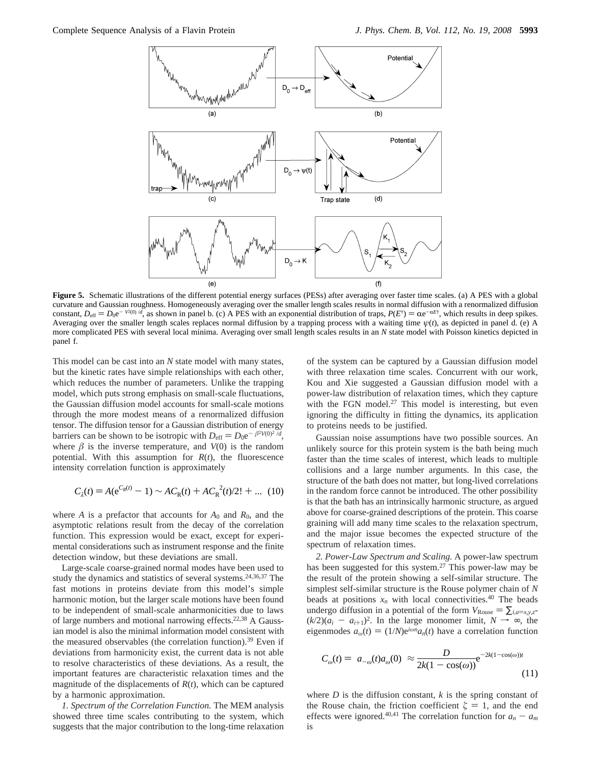

**Figure 5.** Schematic illustrations of the different potential energy surfaces (PESs) after averaging over faster time scales. (a) A PES with a global curvature and Gaussian roughness. Homogeneously averaging over the smaller length scales results in normal diffusion with a renormalized diffusion constant,  $D_{\text{eff}} = D_0 e^{-(V^2(0))/d}$ , as shown in panel b. (c) A PES with an exponential distribution of traps,  $P(E^{\dagger}) = \alpha e^{-\alpha E^{\dagger}}$ , which results in deep spikes.<br>Averaging over the smaller length scales replaces normal Averaging over the smaller length scales replaces normal diffusion by a trapping process with a waiting time  $\psi(t)$ , as depicted in panel d. (e) A more complicated PES with several local minima. Averaging over small length scales results in an *N* state model with Poisson kinetics depicted in panel f.

This model can be cast into an *N* state model with many states, but the kinetic rates have simple relationships with each other, which reduces the number of parameters. Unlike the trapping model, which puts strong emphasis on small-scale fluctuations, the Gaussian diffusion model accounts for small-scale motions through the more modest means of a renormalized diffusion tensor. The diffusion tensor for a Gaussian distribution of energy barriers can be shown to be isotropic with  $D_{\text{eff}} = D_0 e^{-\langle \beta^2 V(0)^2 \rangle / d}$ , where  $\beta$  is the inverse temperature, and  $V(0)$  is the random potential. With this assumption for  $R(t)$ , the fluorescence intensity correlation function is approximately

$$
C_{\lambda}(t) = A(e^{C_R(t)} - 1) \sim AC_R(t) + AC_R^{2}(t)/2! + ...
$$
 (10)

where *A* is a prefactor that accounts for  $A_0$  and  $R_0$ , and the asymptotic relations result from the decay of the correlation function. This expression would be exact, except for experimental considerations such as instrument response and the finite detection window, but these deviations are small.

Large-scale coarse-grained normal modes have been used to study the dynamics and statistics of several systems.24,36,37 The fast motions in proteins deviate from this model's simple harmonic motion, but the larger scale motions have been found to be independent of small-scale anharmonicities due to laws of large numbers and motional narrowing effects.<sup>22,38</sup> A Gaussian model is also the minimal information model consistent with the measured observables (the correlation function).<sup>39</sup> Even if deviations from harmonicity exist, the current data is not able to resolve characteristics of these deviations. As a result, the important features are characteristic relaxation times and the magnitude of the displacements of *R*(*t*), which can be captured by a harmonic approximation.

*1. Spectrum of the Correlation Function.* The MEM analysis showed three time scales contributing to the system, which suggests that the major contribution to the long-time relaxation

of the system can be captured by a Gaussian diffusion model with three relaxation time scales. Concurrent with our work, Kou and Xie suggested a Gaussian diffusion model with a power-law distribution of relaxation times, which they capture with the FGN model.<sup>27</sup> This model is interesting, but even ignoring the difficulty in fitting the dynamics, its application to proteins needs to be justified.

Gaussian noise assumptions have two possible sources. An unlikely source for this protein system is the bath being much faster than the time scales of interest, which leads to multiple collisions and a large number arguments. In this case, the structure of the bath does not matter, but long-lived correlations in the random force cannot be introduced. The other possibility is that the bath has an intrinsically harmonic structure, as argued above for coarse-grained descriptions of the protein. This coarse graining will add many time scales to the relaxation spectrum, and the major issue becomes the expected structure of the spectrum of relaxation times.

*2. Power-Law Spectrum and Scaling.* A power-law spectrum has been suggested for this system.<sup>27</sup> This power-law may be the result of the protein showing a self-similar structure. The simplest self-similar structure is the Rouse polymer chain of *N* beads at positions  $x_n$  with local connectivities.<sup>40</sup> The beads undergo diffusion in a potential of the form  $V_{\text{Rouse}} = \sum_{i,a=x,y,z}$  $(k/2)(a_i - a_{i+1})^2$ . In the large monomer limit,  $N \rightarrow \infty$ , the eigenmodes  $a_{\omega}(t) = (1/N)e^{i\omega n}a_n(t)$  have a correlation function

$$
C_{\omega}(t) = \langle a_{-\omega}(t)a_{\omega}(0)\rangle \approx \frac{D}{2k(1 - \cos(\omega))} e^{-2k(1 - \cos(\omega))t}
$$
\n(11)

where  $D$  is the diffusion constant,  $k$  is the spring constant of the Rouse chain, the friction coefficient  $\zeta = 1$ , and the end effects were ignored.<sup>40,41</sup> The correlation function for  $a_n - a_m$ is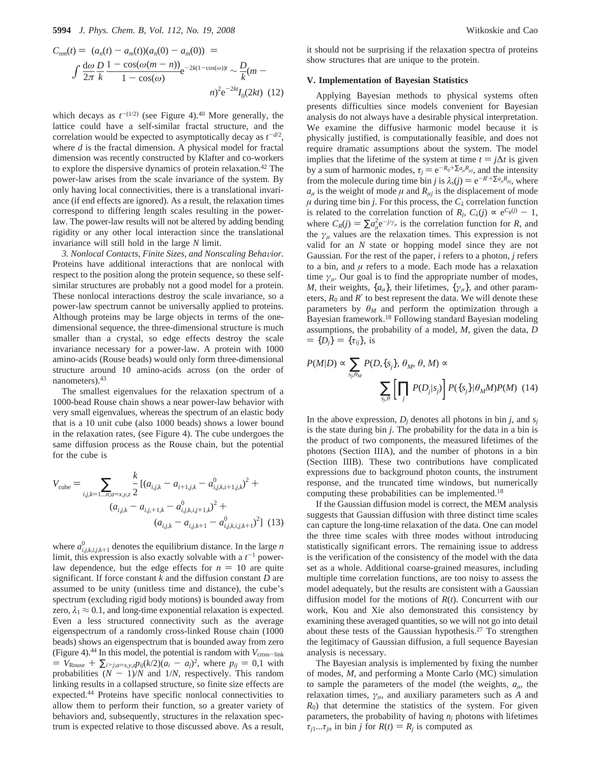$$
C_{nm}(t) = \langle (a_n(t) - a_m(t))(a_n(0) - a_m(0)) \rangle =
$$
  

$$
\int \frac{d\omega}{2\pi} \frac{D}{k} \frac{1 - \cos(\omega(m - n))}{1 - \cos(\omega)} e^{-2k(1 - \cos(\omega))t} \sim \frac{D}{k}(m - n)^2 e^{-2kt} I_0(2kt)
$$
 (12)

which decays as  $t^{-(1/2)}$  (see Figure 4).<sup>40</sup> More generally, the lattice could have a self-similar fractal structure, and the correlation would be expected to asymptotically decay as  $t^{-d/2}$ , where *d* is the fractal dimension. A physical model for fractal dimension was recently constructed by Klafter and co-workers to explore the dispersive dynamics of protein relaxation.<sup>42</sup> The power-law arises from the scale invariance of the system. By only having local connectivities, there is a translational invariance (if end effects are ignored). As a result, the relaxation times correspond to differing length scales resulting in the powerlaw. The power-law results will not be altered by adding bending rigidity or any other local interaction since the translational invariance will still hold in the large *N* limit.

3. Nonlocal Contacts, Finite Sizes, and Nonscaling Behavior. Proteins have additional interactions that are nonlocal with respect to the position along the protein sequence, so these selfsimilar structures are probably not a good model for a protein. These nonlocal interactions destroy the scale invariance, so a power-law spectrum cannot be universally applied to proteins. Although proteins may be large objects in terms of the onedimensional sequence, the three-dimensional structure is much smaller than a crystal, so edge effects destroy the scale invariance necessary for a power-law. A protein with 1000 amino-acids (Rouse beads) would only form three-dimensional structure around 10 amino-acids across (on the order of nanometers).43

The smallest eigenvalues for the relaxation spectrum of a 1000-bead Rouse chain shows a near power-law behavior with very small eigenvalues, whereas the spectrum of an elastic body that is a 10 unit cube (also 1000 beads) shows a lower bound in the relaxation rates, (see Figure 4). The cube undergoes the same diffusion process as the Rouse chain, but the potential for the cube is

$$
V_{\text{cube}} = \sum_{i,j,k=1...n; a=x,y,z} \frac{k}{2} \left[ (a_{i,j,k} - a_{i+1,j,k} - a_{i,j,k,i+1,j,k}^0)^2 + (a_{i,j,k} - a_{i,j+1,k} - a_{i,j,k,i,j+1,k}^0)^2 + (a_{i,j,k} - a_{i,j,k+1} - a_{i,j,k,i,j,k+1}^0)^2 \right] (13)
$$

where  $a_{i,j,k,i,j,k+1}^0$  denotes the equilibrium distance. In the large *n* limit, this expression is also exactly solvable with a  $t^{-1}$  powerlimit, this expression is also exactly solvable with a  $t^{-1}$  powerlaw dependence, but the edge effects for  $n = 10$  are quite significant. If force constant *k* and the diffusion constant *D* are assumed to be unity (unitless time and distance), the cube's spectrum (excluding rigid body motions) is bounded away from zero,  $\lambda_1 \approx 0.1$ , and long-time exponential relaxation is expected. Even a less structured connectivity such as the average eigenspectrum of a randomly cross-linked Rouse chain (1000 beads) shows an eigenspectrum that is bounded away from zero (Figure 4).<sup>44</sup> In this model, the potential is random with  $V_{\text{cross-link}}$  $= V_{\text{Rouse}} + \sum_{i > j; a = x, y, z} p_{ij} (k/2) (a_i - a_j)^2$ , where  $p_{ij} = 0, 1$  with probabilities  $(N - 1)/N$  and  $1/N$ , respectively. This random linking results in a collapsed structure, so finite size effects are expected.44 Proteins have specific nonlocal connectivities to allow them to perform their function, so a greater variety of behaviors and, subsequently, structures in the relaxation spectrum is expected relative to those discussed above. As a result,

it should not be surprising if the relaxation spectra of proteins show structures that are unique to the protein.

#### **V. Implementation of Bayesian Statistics**

Applying Bayesian methods to physical systems often presents difficulties since models convenient for Bayesian analysis do not always have a desirable physical interpretation. We examine the diffusive harmonic model because it is physically justified, is computationally feasible, and does not require dramatic assumptions about the system. The model implies that the lifetime of the system at time  $t = j\Delta t$  is given by a sum of harmonic modes,  $\tau_i = e^{-R_0 + \sum a_\mu R_{\mu j}}$ , and the intensity from the molecule during time bin *j* is  $\lambda_s(j) = e^{-R' + \sum a_{\mu}R_{\mu j}}$ , where  $a_{\mu}$  is the weight of mode  $\mu$  and  $R_{\mu}$ <sup>*i*</sup> is the displacement of mode  $\mu$  during time bin *j*. For this process, the  $C_{\lambda}$  correlation function is related to the correlation function of  $R_j$ ,  $C_\lambda(j) \propto e^{C_R(j)} - 1$ , where  $C_R(j) = \sum a_\mu^2 e^{-j/\gamma_\mu}$  is the correlation function for *R*, and the *y* values are the relaxation times. This expression is not the  $\gamma_{\mu}$  values are the relaxation times. This expression is not valid for an *N* state or hopping model since they are not Gaussian. For the rest of the paper, *i* refers to a photon, *j* refers to a bin, and  $\mu$  refers to a mode. Each mode has a relaxation time  $\gamma_{\mu}$ . Our goal is to find the appropriate number of modes, *M*, their weights,  $\{a_{\mu}\}\$ , their lifetimes,  $\{\gamma_{\mu}\}\$ , and other parameters,  $R_0$  and  $R'$  to best represent the data. We will denote these parameters by  $\theta_M$  and perform the optimization through a Bayesian framework.18 Following standard Bayesian modeling assumptions, the probability of a model, *M*, given the data, *D*  $= {D_i} = {\tau_{ii}}$ , is

$$
P(M|D) \propto \sum_{s_j, \theta_M} P(D, \{s_j\}, \theta_M, \theta, M) \propto
$$

$$
\sum_{s_j, \theta} \left[ \prod_j P(D_j|s_j) \right] P(\{s_j\} | \theta_M M) P(M) \quad (14)
$$

In the above expression,  $D_i$  denotes all photons in bin *j*, and  $s_i$ is the state during bin *j*. The probability for the data in a bin is the product of two components, the measured lifetimes of the photons (Section IIIA), and the number of photons in a bin (Section IIIB). These two contributions have complicated expressions due to background photon counts, the instrument response, and the truncated time windows, but numerically computing these probabilities can be implemented.18

If the Gaussian diffusion model is correct, the MEM analysis suggests that Gaussian diffusion with three distinct time scales can capture the long-time relaxation of the data. One can model the three time scales with three modes without introducing statistically significant errors. The remaining issue to address is the verification of the consistency of the model with the data set as a whole. Additional coarse-grained measures, including multiple time correlation functions, are too noisy to assess the model adequately, but the results are consistent with a Gaussian diffusion model for the motions of *R*(*t*). Concurrent with our work, Kou and Xie also demonstrated this consistency by examining these averaged quantities, so we will not go into detail about these tests of the Gaussian hypothesis.27 To strengthen the legitimacy of Gaussian diffusion, a full sequence Bayesian analysis is necessary.

The Bayesian analysis is implemented by fixing the number of modes, *M*, and performing a Monte Carlo (MC) simulation to sample the parameters of the model (the weights,  $a_{\mu}$ , the relaxation times,  $\gamma_{\mu}$ , and auxiliary parameters such as *A* and *R*0) that determine the statistics of the system. For given parameters, the probability of having  $n_i$  photons with lifetimes  $\tau_{j1}$ ...*τ<sub>jn</sub>* in bin *j* for *R*(*t*) = *R<sub>j</sub>* is computed as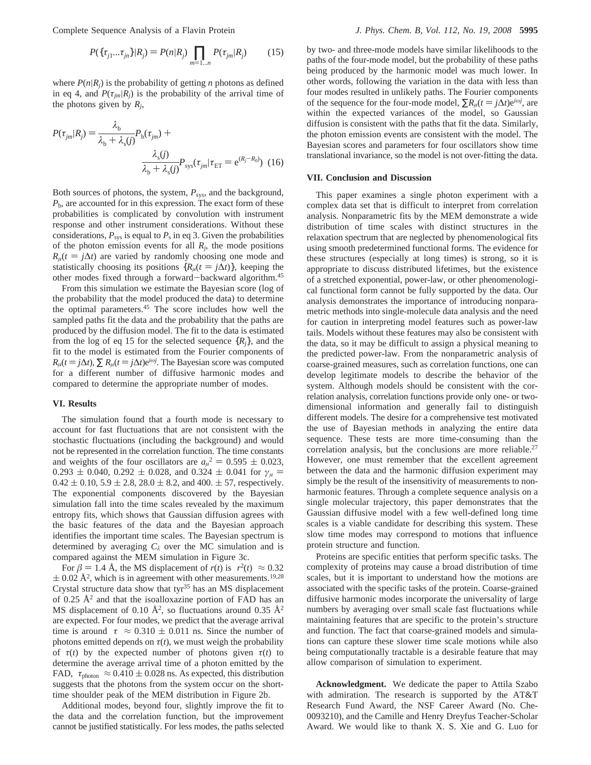Complete Sequence Analysis of a Flavin Protein *J. Phys. Chem. B, Vol. 112, No. 19, 2008* **5995**

$$
P(\{\tau_{j1}...\tau_{jn}\}|R_j) = P(n|R_j) \prod_{m=1...n} P(\tau_{jm}|R_j)
$$
 (15)

where  $P(n|R_i)$  is the probability of getting *n* photons as defined in eq 4, and  $P(\tau_{im}|R_i)$  is the probability of the arrival time of the photons given by *Rj*,

$$
P(\tau_{jm}|R_j) = \frac{\lambda_b}{\lambda_b + \lambda_s(j)} P_b(\tau_{jm}) +
$$

$$
\frac{\lambda_s(j)}{\lambda_b + \lambda_s(j)} P_{\text{sys}}(\tau_{jm}|\tau_{\text{ET}} = e^{(R_j - R_0)}) \tag{16}
$$

Both sources of photons, the system, *P*sy*s*, and the background, *P*b, are accounted for in this expression. The exact form of these probabilities is complicated by convolution with instrument response and other instrument considerations. Without these considerations,  $P_{sys}$  is equal to  $P_s$  in eq 3. Given the probabilities of the photon emission events for all  $R_i$ , the mode positions  $R_{\mu}(t = j\Delta t)$  are varied by randomly choosing one mode and statistically choosing its positions  ${R<sub>u</sub>(t = j\Delta t)}$ , keeping the other modes fixed through a forward-backward algorithm.45

From this simulation we estimate the Bayesian score (log of the probability that the model produced the data) to determine the optimal parameters.45 The score includes how well the sampled paths fit the data and the probability that the paths are produced by the diffusion model. The fit to the data is estimated from the log of eq 15 for the selected sequence  $\{R_i\}$ , and the fit to the model is estimated from the Fourier components of  $R_\mu(t = j\Delta t)$ ,  $\sum R_\mu(t = j\Delta t)e^{i\omega t}$ . The Bayesian score was computed for a different number of diffusive harmonic modes and for a different number of diffusive harmonic modes and compared to determine the appropriate number of modes.

### **VI. Results**

The simulation found that a fourth mode is necessary to account for fast fluctuations that are not consistent with the stochastic fluctuations (including the background) and would not be represented in the correlation function. The time constants and weights of the four oscillators are  $a_{\mu}^2 = 0.595 \pm 0.023$ ,<br>0.293 + 0.040, 0.292 + 0.028, and 0.324 + 0.041 for  $\nu =$  $0.293 \pm 0.040, 0.292 \pm 0.028$ , and  $0.324 \pm 0.041$  for  $\gamma_\mu$  =  $0.42 \pm 0.10$ ,  $5.9 \pm 2.8$ ,  $28.0 \pm 8.2$ , and  $400 \pm 57$ , respectively. The exponential components discovered by the Bayesian simulation fall into the time scales revealed by the maximum entropy fits, which shows that Gaussian diffusion agrees with the basic features of the data and the Bayesian approach identifies the important time scales. The Bayesian spectrum is determined by averaging  $C_{\lambda}$  over the MC simulation and is compared against the MEM simulation in Figure 3c.

For  $\beta = 1.4$  Å, the MS displacement of  $r(t)$  is  $\langle r^2(t) \rangle \approx 0.32$  $\pm$  0.02 Å<sup>2</sup>, which is in agreement with other measurements.<sup>19,28</sup> Crystal structure data show that tyr $35$  has an MS displacement of 0.25  $\AA^2$  and that the isoalloxazine portion of FAD has an MS displacement of 0.10  $\AA^2$ , so fluctuations around 0.35  $\AA^2$ are expected. For four modes, we predict that the average arrival time is around  $\langle \tau \rangle \approx 0.310 \pm 0.011$  ns. Since the number of photons emitted depends on  $\tau(t)$ , we must weigh the probability of  $\tau(t)$  by the expected number of photons given  $\tau(t)$  to determine the average arrival time of a photon emitted by the FAD,  $\langle \tau_{\text{photon}} \rangle \approx 0.410 \pm 0.028$  ns. As expected, this distribution suggests that the photons from the system occur on the shorttime shoulder peak of the MEM distribution in Figure 2b.

Additional modes, beyond four, slightly improve the fit to the data and the correlation function, but the improvement cannot be justified statistically. For less modes, the paths selected by two- and three-mode models have similar likelihoods to the paths of the four-mode model, but the probability of these paths being produced by the harmonic model was much lower. In other words, following the variation in the data with less than four modes resulted in unlikely paths. The Fourier components of the sequence for the four-mode model,  $\sum R_{\mu}(t = j\Delta t)e^{i\omega j}$ , are within the expected variances of the model, so Gaussian within the expected variances of the model, so Gaussian diffusion is consistent with the paths that fit the data. Similarly, the photon emission events are consistent with the model. The Bayesian scores and parameters for four oscillators show time translational invariance, so the model is not over-fitting the data.

#### **VII. Conclusion and Discussion**

This paper examines a single photon experiment with a complex data set that is difficult to interpret from correlation analysis. Nonparametric fits by the MEM demonstrate a wide distribution of time scales with distinct structures in the relaxation spectrum that are neglected by phenomenological fits using smooth predetermined functional forms. The evidence for these structures (especially at long times) is strong, so it is appropriate to discuss distributed lifetimes, but the existence of a stretched exponential, power-law, or other phenomenological functional form cannot be fully supported by the data. Our analysis demonstrates the importance of introducing nonparametric methods into single-molecule data analysis and the need for caution in interpreting model features such as power-law tails. Models without these features may also be consistent with the data, so it may be difficult to assign a physical meaning to the predicted power-law. From the nonparametric analysis of coarse-grained measures, such as correlation functions, one can develop legitimate models to describe the behavior of the system. Although models should be consistent with the correlation analysis, correlation functions provide only one- or twodimensional information and generally fail to distinguish different models. The desire for a comprehensive test motivated the use of Bayesian methods in analyzing the entire data sequence. These tests are more time-consuming than the correlation analysis, but the conclusions are more reliable.<sup>27</sup> However, one must remember that the excellent agreement between the data and the harmonic diffusion experiment may simply be the result of the insensitivity of measurements to nonharmonic features. Through a complete sequence analysis on a single molecular trajectory, this paper demonstrates that the Gaussian diffusive model with a few well-defined long time scales is a viable candidate for describing this system. These slow time modes may correspond to motions that influence protein structure and function.

Proteins are specific entities that perform specific tasks. The complexity of proteins may cause a broad distribution of time scales, but it is important to understand how the motions are associated with the specific tasks of the protein. Coarse-grained diffusive harmonic modes incorporate the universality of large numbers by averaging over small scale fast fluctuations while maintaining features that are specific to the protein's structure and function. The fact that coarse-grained models and simulations can capture these slower time scale motions while also being computationally tractable is a desirable feature that may allow comparison of simulation to experiment.

**Acknowledgment.** We dedicate the paper to Attila Szabo with admiration. The research is supported by the AT&T Research Fund Award, the NSF Career Award (No. Che-0093210), and the Camille and Henry Dreyfus Teacher-Scholar Award. We would like to thank X. S. Xie and G. Luo for